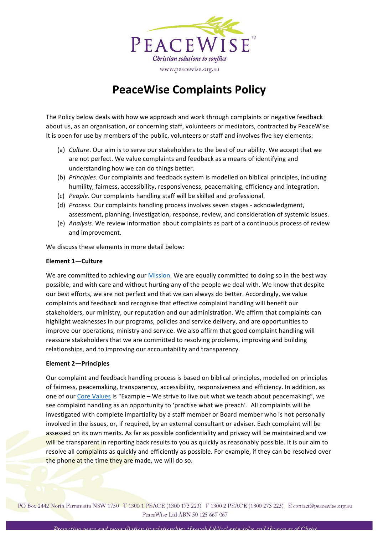

www.peacewise.org.au

# **PeaceWise Complaints Policy**

The Policy below deals with how we approach and work through complaints or negative feedback about us, as an organisation, or concerning staff, volunteers or mediators, contracted by PeaceWise. It is open for use by members of the public, volunteers or staff and involves five key elements:

- (a) *Culture*. Our aim is to serve our stakeholders to the best of our ability. We accept that we are not perfect. We value complaints and feedback as a means of identifying and understanding how we can do things better.
- (b) *Principles*. Our complaints and feedback system is modelled on biblical principles, including humility, fairness, accessibility, responsiveness, peacemaking, efficiency and integration.
- (c) *People*. Our complaints handling staff will be skilled and professional.
- (d) *Process*. Our complaints handling process involves seven stages acknowledgment, assessment, planning, investigation, response, review, and consideration of systemic issues.
- (e) *Analysis*. We review information about complaints as part of a continuous process of review and improvement.

We discuss these elements in more detail below:

## Element 1-Culture

We are committed to achieving our Mission. We are equally committed to doing so in the best way possible, and with care and without hurting any of the people we deal with. We know that despite our best efforts, we are not perfect and that we can always do better. Accordingly, we value complaints and feedback and recognise that effective complaint handling will benefit our stakeholders, our ministry, our reputation and our administration. We affirm that complaints can highlight weaknesses in our programs, policies and service delivery, and are opportunities to improve our operations, ministry and service. We also affirm that good complaint handling will reassure stakeholders that we are committed to resolving problems, improving and building relationships, and to improving our accountability and transparency.

## Element 2-Principles

Our complaint and feedback handling process is based on biblical principles, modelled on principles of fairness, peacemaking, transparency, accessibility, responsiveness and efficiency. In addition, as one of our Core Values is "Example - We strive to live out what we teach about peacemaking", we see complaint handling as an opportunity to 'practise what we preach'. All complaints will be investigated with complete impartiality by a staff member or Board member who is not personally involved in the issues, or, if required, by an external consultant or adviser. Each complaint will be assessed on its own merits. As far as possible confidentiality and privacy will be maintained and we will be transparent in reporting back results to you as quickly as reasonably possible. It is our aim to resolve all complaints as quickly and efficiently as possible. For example, if they can be resolved over the phone at the time they are made, we will do so.

PO Box 2442 North Parramatta NSW 1750 T 1300 1 PEACE (1300 173 223) F 1300 2 PEACE (1300 273 223) E contact@peacewise.org.au PeaceWise Ltd ABN 50 125 667 067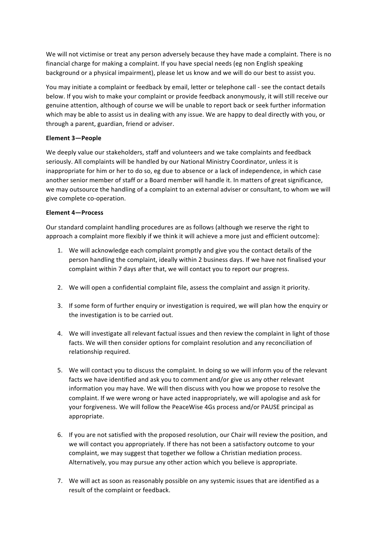We will not victimise or treat any person adversely because they have made a complaint. There is no financial charge for making a complaint. If you have special needs (eg non English speaking background or a physical impairment), please let us know and we will do our best to assist you.

You may initiate a complaint or feedback by email, letter or telephone call - see the contact details below. If you wish to make your complaint or provide feedback anonymously, it will still receive our genuine attention, although of course we will be unable to report back or seek further information which may be able to assist us in dealing with any issue. We are happy to deal directly with you, or through a parent, guardian, friend or adviser.

## Element 3-People

We deeply value our stakeholders, staff and volunteers and we take complaints and feedback seriously. All complaints will be handled by our National Ministry Coordinator, unless it is inappropriate for him or her to do so, eg due to absence or a lack of independence, in which case another senior member of staff or a Board member will handle it. In matters of great significance, we may outsource the handling of a complaint to an external adviser or consultant, to whom we will give complete co-operation.

## Element 4-Process

Our standard complaint handling procedures are as follows (although we reserve the right to approach a complaint more flexibly if we think it will achieve a more just and efficient outcome):

- 1. We will acknowledge each complaint promptly and give you the contact details of the person handling the complaint, ideally within 2 business days. If we have not finalised your complaint within 7 days after that, we will contact you to report our progress.
- 2. We will open a confidential complaint file, assess the complaint and assign it priority.
- 3. If some form of further enquiry or investigation is required, we will plan how the enquiry or the investigation is to be carried out.
- 4. We will investigate all relevant factual issues and then review the complaint in light of those facts. We will then consider options for complaint resolution and any reconciliation of relationship required.
- 5. We will contact you to discuss the complaint. In doing so we will inform you of the relevant facts we have identified and ask you to comment and/or give us any other relevant information you may have. We will then discuss with you how we propose to resolve the complaint. If we were wrong or have acted inappropriately, we will apologise and ask for your forgiveness. We will follow the PeaceWise 4Gs process and/or PAUSE principal as appropriate.
- 6. If you are not satisfied with the proposed resolution, our Chair will review the position, and we will contact you appropriately. If there has not been a satisfactory outcome to your complaint, we may suggest that together we follow a Christian mediation process. Alternatively, you may pursue any other action which you believe is appropriate.
- 7. We will act as soon as reasonably possible on any systemic issues that are identified as a result of the complaint or feedback.